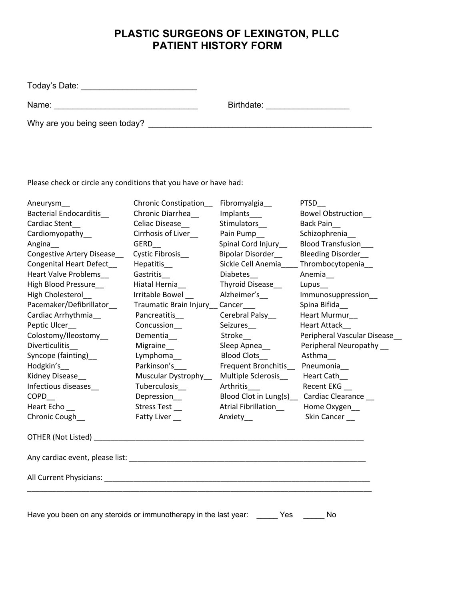## **PLASTIC SURGEONS OF LEXINGTON, PLLC PATIENT HISTORY FORM**

| Today's Date:                 |            |  |
|-------------------------------|------------|--|
| Name:                         | Birthdate: |  |
| Why are you being seen today? |            |  |
|                               |            |  |

Please check or circle any conditions that you have or have had:

| Aneurysm__                                                                                                      | Chronic Constipation_               | Fibromyalgia_              | <b>PTSD</b>                               |
|-----------------------------------------------------------------------------------------------------------------|-------------------------------------|----------------------------|-------------------------------------------|
| Bacterial Endocarditis_                                                                                         | Chronic Diarrhea                    | Implants___                | Bowel Obstruction                         |
| Cardiac Stent                                                                                                   | Celiac Disease                      | Stimulators                | Back Pain                                 |
| Cardiomyopathy_                                                                                                 | Cirrhosis of Liver_                 | Pain Pump_                 | Schizophrenia_                            |
| Angina                                                                                                          | GERD                                | Spinal Cord Injury__       | Blood Transfusion___                      |
| <b>Congestive Artery Disease</b>                                                                                | Cystic Fibrosis                     | Bipolar Disorder           | <b>Bleeding Disorder</b>                  |
| Congenital Heart Defect_                                                                                        | Hepatitis__                         | Sickle Cell Anemia         | Thrombocytopenia                          |
| <b>Heart Valve Problems</b>                                                                                     | Gastritis_                          | Diabetes_                  | Anemia                                    |
| High Blood Pressure                                                                                             | Hiatal Hernia                       | Thyroid Disease            | Lupus_                                    |
| High Cholesterol                                                                                                | Irritable Bowel                     | Alzheimer's_               | Immunosuppression_                        |
| Pacemaker/Defibrillator                                                                                         | Traumatic Brain Injury __ Cancer___ |                            | Spina Bifida_                             |
| Cardiac Arrhythmia                                                                                              | Pancreatitis_                       | Cerebral Palsy_            | Heart Murmur_                             |
| Peptic Ulcer                                                                                                    | Concussion_                         | Seizures__                 | <b>Heart Attack</b>                       |
| Colostomy/Ileostomy                                                                                             | Dementia_                           | Stroke__                   | Peripheral Vascular Disease               |
| Diverticulitis                                                                                                  | Migraine_                           | Sleep Apnea_               | Peripheral Neuropathy                     |
| Syncope (fainting)_                                                                                             | Lymphoma__                          | <b>Blood Clots</b>         | Asthma                                    |
| Hodgkin's                                                                                                       | Parkinson's                         | Frequent Bronchitis_       | Pneumonia_                                |
| Kidney Disease___                                                                                               | Muscular Dystrophy_                 | Multiple Sclerosis         | Heart Cath                                |
| Infectious diseases_                                                                                            | Tuberculosis_                       | Arthritis___               | Recent EKG_                               |
| COPD                                                                                                            | Depression___                       |                            | Blood Clot in Lung(s) Cardiac Clearance _ |
| Heart Echo                                                                                                      | Stress Test_                        | <b>Atrial Fibrillation</b> | Home Oxygen_                              |
| Chronic Cough_                                                                                                  | Fatty Liver __                      | Anxiety_                   | Skin Cancer __                            |
| OTHER (Not Listed) Note and the second state of the second state of the second state of the second state of the |                                     |                            |                                           |
|                                                                                                                 |                                     |                            |                                           |
|                                                                                                                 |                                     |                            |                                           |
|                                                                                                                 |                                     |                            |                                           |
|                                                                                                                 |                                     |                            |                                           |
|                                                                                                                 |                                     |                            |                                           |

Have you been on any steroids or immunotherapy in the last year: \_\_\_\_\_ Yes \_\_\_\_\_ No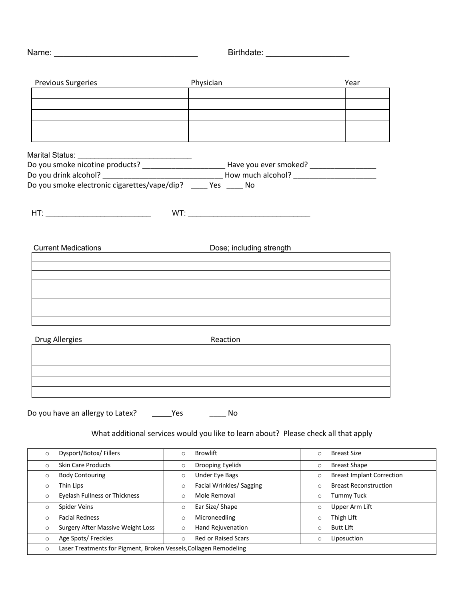|                                                                                                     |                                                                                     | Birthdate: ___________________              |
|-----------------------------------------------------------------------------------------------------|-------------------------------------------------------------------------------------|---------------------------------------------|
| <b>Previous Surgeries</b><br><u> 1989 - John Stein, Amerikaansk kanton (</u>                        |                                                                                     | Year                                        |
|                                                                                                     |                                                                                     |                                             |
|                                                                                                     |                                                                                     |                                             |
|                                                                                                     |                                                                                     |                                             |
| Marital Status: ___________________________________                                                 |                                                                                     |                                             |
| Do you smoke nicotine products? ___________________________Have you ever smoked? __________________ |                                                                                     |                                             |
|                                                                                                     |                                                                                     |                                             |
|                                                                                                     |                                                                                     |                                             |
|                                                                                                     |                                                                                     |                                             |
| <b>Current Medications</b>                                                                          |                                                                                     |                                             |
|                                                                                                     |                                                                                     | Dose; including strength                    |
|                                                                                                     |                                                                                     |                                             |
|                                                                                                     |                                                                                     |                                             |
|                                                                                                     |                                                                                     |                                             |
|                                                                                                     |                                                                                     |                                             |
|                                                                                                     |                                                                                     |                                             |
|                                                                                                     |                                                                                     |                                             |
| Drug Allergies<br><u> 1989 - Johann Barbara, martxa alemani</u> ar alemania                         | Reaction                                                                            |                                             |
|                                                                                                     |                                                                                     |                                             |
|                                                                                                     |                                                                                     |                                             |
|                                                                                                     |                                                                                     |                                             |
|                                                                                                     |                                                                                     |                                             |
|                                                                                                     |                                                                                     |                                             |
| Do you have an allergy to Latex?                                                                    | _Yes<br>No.                                                                         |                                             |
|                                                                                                     |                                                                                     |                                             |
|                                                                                                     | What additional services would you like to learn about? Please check all that apply |                                             |
| Dysport/Botox/Fillers<br>$\circ$                                                                    | <b>Browlift</b><br>$\circ$                                                          | <b>Breast Size</b><br>$\circ$               |
| Skin Care Products<br>$\circ$                                                                       | Drooping Eyelids<br>$\circ$                                                         | <b>Breast Shape</b><br>$\circ$              |
| <b>Body Contouring</b><br>$\circ$                                                                   | Under Eye Bags<br>$\circ$                                                           | <b>Breast Implant Correction</b><br>$\circ$ |
| Thin Lips<br>$\circ$                                                                                | Facial Wrinkles/ Sagging<br>$\circ$                                                 | <b>Breast Reconstruction</b><br>$\circ$     |
| <b>Eyelash Fullness or Thickness</b><br>$\circ$                                                     | Mole Removal<br>$\circ$                                                             | <b>Tummy Tuck</b><br>$\circ$                |
| Spider Veins<br>$\circ$                                                                             | Ear Size/ Shape<br>$\circ$                                                          | Upper Arm Lift<br>$\circ$                   |
| <b>Facial Redness</b><br>$\circ$                                                                    | Microneedling<br>$\circ$                                                            | Thigh Lift<br>$\circ$                       |
| Surgery After Massive Weight Loss<br>$\circ$                                                        | Hand Rejuvenation<br>$\circ$                                                        | <b>Butt Lift</b><br>$\circ$                 |
| Age Spots/ Freckles<br>$\circ$                                                                      | <b>Red or Raised Scars</b><br>$\circ$                                               | Liposuction<br>$\circ$                      |
| Laser Treatments for Pigment, Broken Vessels, Collagen Remodeling<br>$\circ$                        |                                                                                     |                                             |